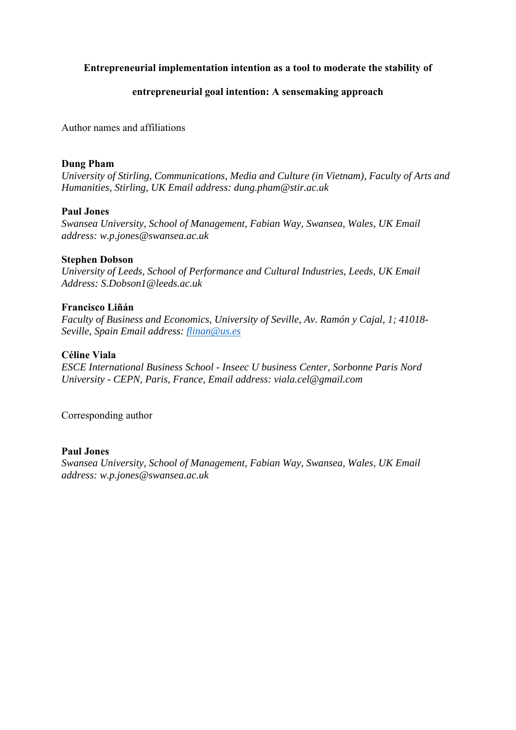# **Entrepreneurial implementation intention as a tool to moderate the stability of**

# **entrepreneurial goal intention: A sensemaking approach**

Author names and affiliations

## **Dung Pham**

*University of Stirling, Communications, Media and Culture (in Vietnam), Faculty of Arts and Humanities, Stirling, UK Email address: [dung.pham@stir.ac.uk](mailto:dung.pham@stir.ac.uk)* 

## **Paul Jones**

*Swansea University, School of Management, Fabian Way, Swansea, Wales, UK Email address: [w.p.jones@swansea.ac.uk](mailto:w.p.jones@swansea.ac.uk)* 

## **Stephen Dobson**

*University of Leeds, School of Performance and Cultural Industries, Leeds, UK Email Address: [S.Dobson1@leeds.ac.uk](mailto:S.Dobson1@leeds.ac.uk)* 

# **Francisco Liñán**

*Faculty of Business and Economics, University of Seville, Av. Ramón y Cajal, 1; 41018- Seville, Spain Email address: [flinan@us.es](mailto:flinan@us.es)* 

# **Céline Viala**

*ESCE International Business School - Inseec U business Center, Sorbonne Paris Nord University - CEPN, Paris, France, Email address: [viala.cel@gmail.com](mailto:viala.cel@gmail.com)* 

Corresponding author

## **Paul Jones**

*Swansea University, School of Management, Fabian Way, Swansea, Wales, UK Email address: [w.p.jones@swansea.ac.uk](mailto:w.p.jones@swansea.ac.uk)*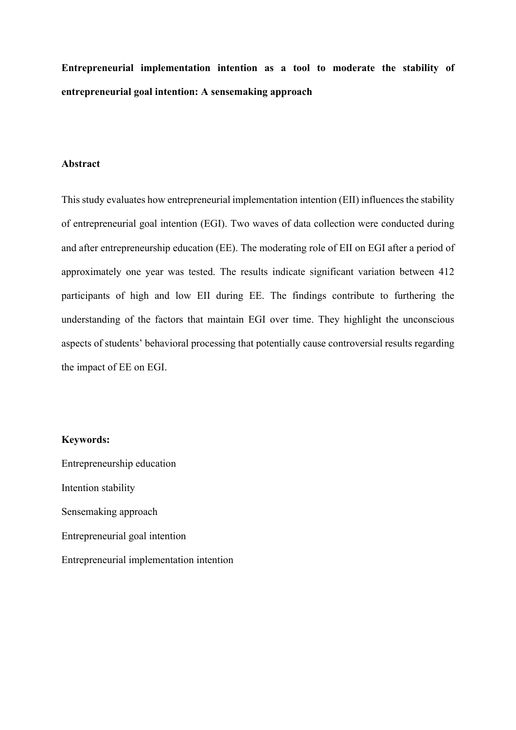**Entrepreneurial implementation intention as a tool to moderate the stability of entrepreneurial goal intention: A sensemaking approach** 

#### **Abstract**

This study evaluates how entrepreneurial implementation intention (EII) influences the stability of entrepreneurial goal intention (EGI). Two waves of data collection were conducted during and after entrepreneurship education (EE). The moderating role of EII on EGI after a period of approximately one year was tested. The results indicate significant variation between 412 participants of high and low EII during EE. The findings contribute to furthering the understanding of the factors that maintain EGI over time. They highlight the unconscious aspects of students' behavioral processing that potentially cause controversial results regarding the impact of EE on EGI.

### **Keywords:**

Entrepreneurship education Intention stability Sensemaking approach Entrepreneurial goal intention Entrepreneurial implementation intention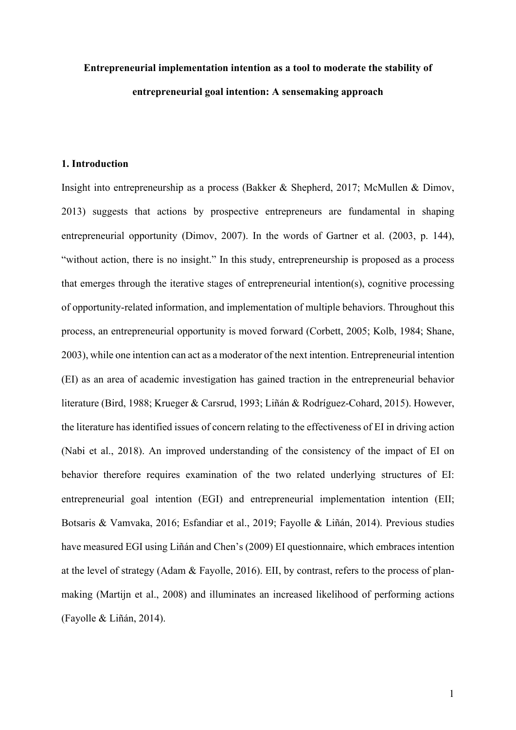# **Entrepreneurial implementation intention as a tool to moderate the stability of entrepreneurial goal intention: A sensemaking approach**

#### **1. Introduction**

 the literature has identified issues of concern relating to the effectiveness of EI in driving action (Nabi et al., 2018). An improved understanding of the consistency of the impact of EI on Insight into entrepreneurship as a process (Bakker & Shepherd, 2017; McMullen & Dimov, 2013) suggests that actions by prospective entrepreneurs are fundamental in shaping entrepreneurial opportunity (Dimov, 2007). In the words of Gartner et al. (2003, p. 144), "without action, there is no insight." In this study, entrepreneurship is proposed as a process that emerges through the iterative stages of entrepreneurial intention(s), cognitive processing of opportunity-related information, and implementation of multiple behaviors. Throughout this process, an entrepreneurial opportunity is moved forward (Corbett, 2005; Kolb, 1984; Shane, 2003), while one intention can act as a moderator of the next intention. Entrepreneurial intention (EI) as an area of academic investigation has gained traction in the entrepreneurial behavior literature (Bird, 1988; Krueger & Carsrud, 1993; Liñán & Rodríguez-Cohard, 2015). However, behavior therefore requires examination of the two related underlying structures of EI: entrepreneurial goal intention (EGI) and entrepreneurial implementation intention (EII; Botsaris & Vamvaka, 2016; Esfandiar et al., 2019; Fayolle & Liñán, 2014). Previous studies have measured EGI using Liñán and Chen's (2009) EI questionnaire, which embraces intention at the level of strategy (Adam & Fayolle, 2016). EII, by contrast, refers to the process of planmaking (Martijn et al., 2008) and illuminates an increased likelihood of performing actions (Fayolle & Liñán, 2014).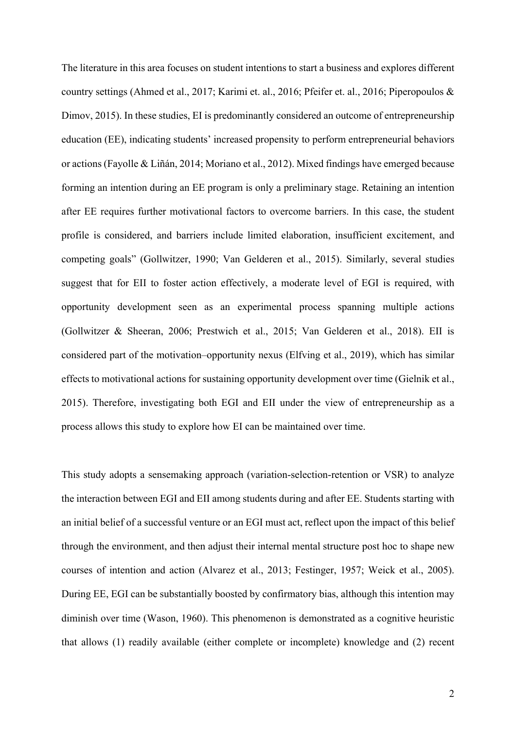or actions (Fayolle & Liñán, 2014; Moriano et al., 2012). Mixed findings have emerged because The literature in this area focuses on student intentions to start a business and explores different country settings (Ahmed et al., 2017; Karimi et. al., 2016; Pfeifer et. al., 2016; Piperopoulos & Dimov, 2015). In these studies, EI is predominantly considered an outcome of entrepreneurship education (EE), indicating students' increased propensity to perform entrepreneurial behaviors forming an intention during an EE program is only a preliminary stage. Retaining an intention after EE requires further motivational factors to overcome barriers. In this case, the student profile is considered, and barriers include limited elaboration, insufficient excitement, and competing goals" (Gollwitzer, 1990; Van Gelderen et al., 2015). Similarly, several studies suggest that for EII to foster action effectively, a moderate level of EGI is required, with opportunity development seen as an experimental process spanning multiple actions (Gollwitzer & Sheeran, 2006; Prestwich et al., 2015; Van Gelderen et al., 2018). EII is considered part of the motivation–opportunity nexus (Elfving et al., 2019), which has similar effects to motivational actions for sustaining opportunity development over time (Gielnik et al., 2015). Therefore, investigating both EGI and EII under the view of entrepreneurship as a process allows this study to explore how EI can be maintained over time.

This study adopts a sensemaking approach (variation-selection-retention or VSR) to analyze the interaction between EGI and EII among students during and after EE. Students starting with an initial belief of a successful venture or an EGI must act, reflect upon the impact of this belief through the environment, and then adjust their internal mental structure post hoc to shape new courses of intention and action (Alvarez et al., 2013; Festinger, 1957; Weick et al., 2005). During EE, EGI can be substantially boosted by confirmatory bias, although this intention may diminish over time (Wason, 1960). This phenomenon is demonstrated as a cognitive heuristic that allows (1) readily available (either complete or incomplete) knowledge and (2) recent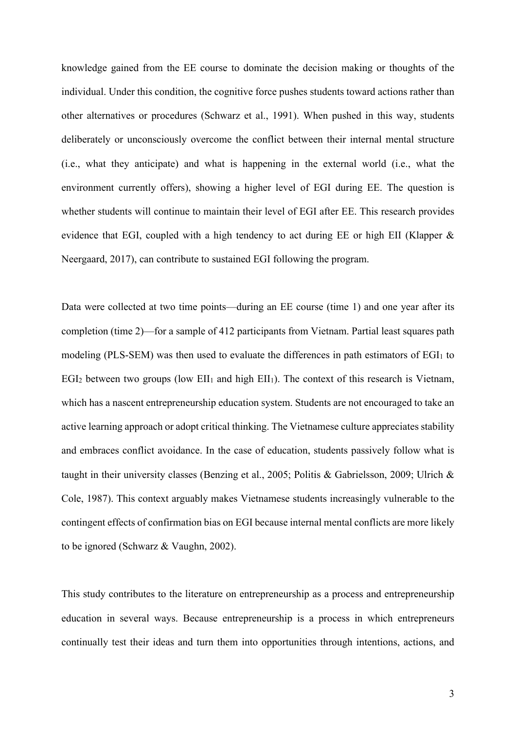whether students will continue to maintain their level of EGI after EE. This research provides evidence that EGI, coupled with a high tendency to act during EE or high EII (Klapper & knowledge gained from the EE course to dominate the decision making or thoughts of the individual. Under this condition, the cognitive force pushes students toward actions rather than other alternatives or procedures (Schwarz et al., 1991). When pushed in this way, students deliberately or unconsciously overcome the conflict between their internal mental structure (i.e., what they anticipate) and what is happening in the external world (i.e., what the environment currently offers), showing a higher level of EGI during EE. The question is Neergaard, 2017), can contribute to sustained EGI following the program.

 Data were collected at two time points—during an EE course (time 1) and one year after its EGI<sub>2</sub> between two groups (low EII<sub>1</sub> and high EII<sub>1</sub>). The context of this research is Vietnam, completion (time 2)—for a sample of 412 participants from Vietnam. Partial least squares path modeling (PLS-SEM) was then used to evaluate the differences in path estimators of  $EGI<sub>1</sub>$  to which has a nascent entrepreneurship education system. Students are not encouraged to take an active learning approach or adopt critical thinking. The Vietnamese culture appreciates stability and embraces conflict avoidance. In the case of education, students passively follow what is taught in their university classes (Benzing et al., 2005; Politis & Gabrielsson, 2009; Ulrich & Cole, 1987). This context arguably makes Vietnamese students increasingly vulnerable to the contingent effects of confirmation bias on EGI because internal mental conflicts are more likely to be ignored (Schwarz & Vaughn, 2002).

 This study contributes to the literature on entrepreneurship as a process and entrepreneurship education in several ways. Because entrepreneurship is a process in which entrepreneurs continually test their ideas and turn them into opportunities through intentions, actions, and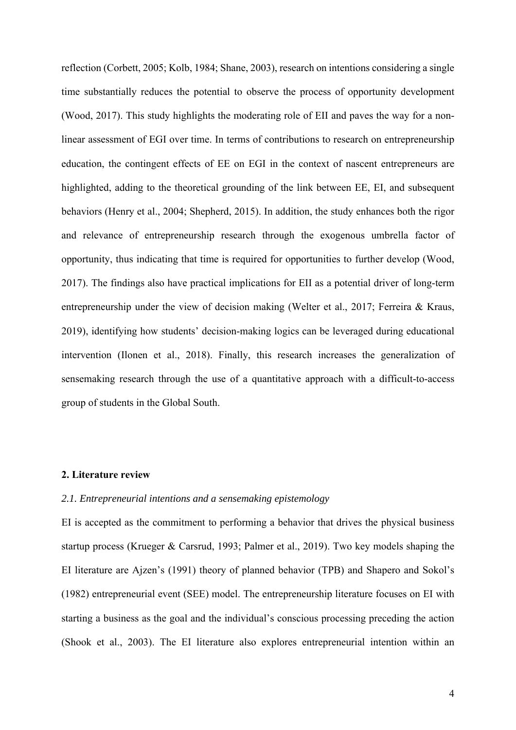behaviors (Henry et al., 2004; Shepherd, 2015). In addition, the study enhances both the rigor 2017). The findings also have practical implications for EII as a potential driver of long-term sensemaking research through the use of a quantitative approach with a difficult-to-access reflection (Corbett, 2005; Kolb, 1984; Shane, 2003), research on intentions considering a single time substantially reduces the potential to observe the process of opportunity development (Wood, 2017). This study highlights the moderating role of EII and paves the way for a nonlinear assessment of EGI over time. In terms of contributions to research on entrepreneurship education, the contingent effects of EE on EGI in the context of nascent entrepreneurs are highlighted, adding to the theoretical grounding of the link between EE, EI, and subsequent and relevance of entrepreneurship research through the exogenous umbrella factor of opportunity, thus indicating that time is required for opportunities to further develop (Wood, entrepreneurship under the view of decision making (Welter et al., 2017; Ferreira & Kraus, 2019), identifying how students' decision-making logics can be leveraged during educational intervention (Ilonen et al., 2018). Finally, this research increases the generalization of group of students in the Global South.

### **2. Literature review**

#### *2.1. Entrepreneurial intentions and a sensemaking epistemology*

 startup process (Krueger & Carsrud, 1993; Palmer et al., 2019). Two key models shaping the EI is accepted as the commitment to performing a behavior that drives the physical business EI literature are Ajzen's (1991) theory of planned behavior (TPB) and Shapero and Sokol's (1982) entrepreneurial event (SEE) model. The entrepreneurship literature focuses on EI with starting a business as the goal and the individual's conscious processing preceding the action (Shook et al., 2003). The EI literature also explores entrepreneurial intention within an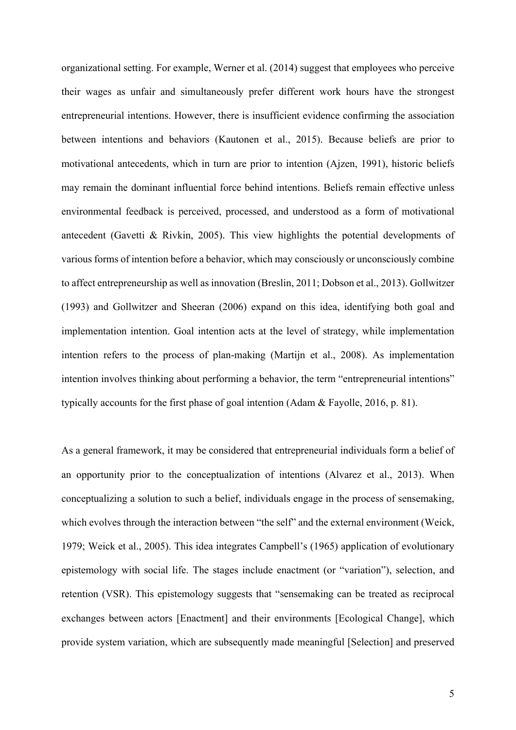organizational setting. For example, Werner et al. (2014) suggest that employees who perceive their wages as unfair and simultaneously prefer different work hours have the strongest entrepreneurial intentions. However, there is insufficient evidence confirming the association between intentions and behaviors (Kautonen et al., 2015). Because beliefs are prior to motivational antecedents, which in turn are prior to intention (Ajzen, 1991), historic beliefs may remain the dominant influential force behind intentions. Beliefs remain effective unless environmental feedback is perceived, processed, and understood as a form of motivational antecedent (Gavetti & Rivkin, 2005). This view highlights the potential developments of various forms of intention before a behavior, which may consciously or unconsciously combine to affect entrepreneurship as well as innovation (Breslin, 2011; Dobson et al., 2013). Gollwitzer (1993) and Gollwitzer and Sheeran (2006) expand on this idea, identifying both goal and implementation intention. Goal intention acts at the level of strategy, while implementation intention refers to the process of plan-making (Martijn et al., 2008). As implementation intention involves thinking about performing a behavior, the term "entrepreneurial intentions" typically accounts for the first phase of goal intention (Adam & Fayolle, 2016, p. 81).

 As a general framework, it may be considered that entrepreneurial individuals form a belief of conceptualizing a solution to such a belief, individuals engage in the process of sensemaking, epistemology with social life. The stages include enactment (or "variation"), selection, and retention (VSR). This epistemology suggests that "sensemaking can be treated as reciprocal provide system variation, which are subsequently made meaningful [Selection] and preserved an opportunity prior to the conceptualization of intentions (Alvarez et al., 2013). When which evolves through the interaction between "the self" and the external environment (Weick, 1979; Weick et al., 2005). This idea integrates Campbell's (1965) application of evolutionary exchanges between actors [Enactment] and their environments [Ecological Change], which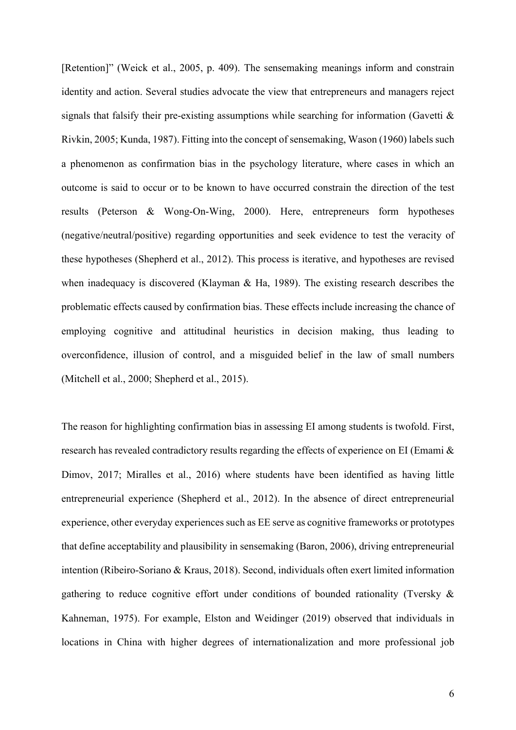(negative/neutral/positive) regarding opportunities and seek evidence to test the veracity of [Retention]" (Weick et al., 2005, p. 409). The sensemaking meanings inform and constrain identity and action. Several studies advocate the view that entrepreneurs and managers reject signals that falsify their pre-existing assumptions while searching for information (Gavetti  $\&$ Rivkin, 2005; Kunda, 1987). Fitting into the concept of sensemaking, Wason (1960) labels such a phenomenon as confirmation bias in the psychology literature, where cases in which an outcome is said to occur or to be known to have occurred constrain the direction of the test results (Peterson & Wong-On-Wing, 2000). Here, entrepreneurs form hypotheses these hypotheses (Shepherd et al., 2012). This process is iterative, and hypotheses are revised when inadequacy is discovered (Klayman & Ha, 1989). The existing research describes the problematic effects caused by confirmation bias. These effects include increasing the chance of employing cognitive and attitudinal heuristics in decision making, thus leading to overconfidence, illusion of control, and a misguided belief in the law of small numbers (Mitchell et al., 2000; Shepherd et al., 2015).

The reason for highlighting confirmation bias in assessing EI among students is twofold. First, research has revealed contradictory results regarding the effects of experience on EI (Emami & Dimov, 2017; Miralles et al., 2016) where students have been identified as having little entrepreneurial experience (Shepherd et al., 2012). In the absence of direct entrepreneurial experience, other everyday experiences such as EE serve as cognitive frameworks or prototypes that define acceptability and plausibility in sensemaking (Baron, 2006), driving entrepreneurial intention (Ribeiro-Soriano & Kraus, 2018). Second, individuals often exert limited information gathering to reduce cognitive effort under conditions of bounded rationality (Tversky & Kahneman, 1975). For example, Elston and Weidinger (2019) observed that individuals in locations in China with higher degrees of internationalization and more professional job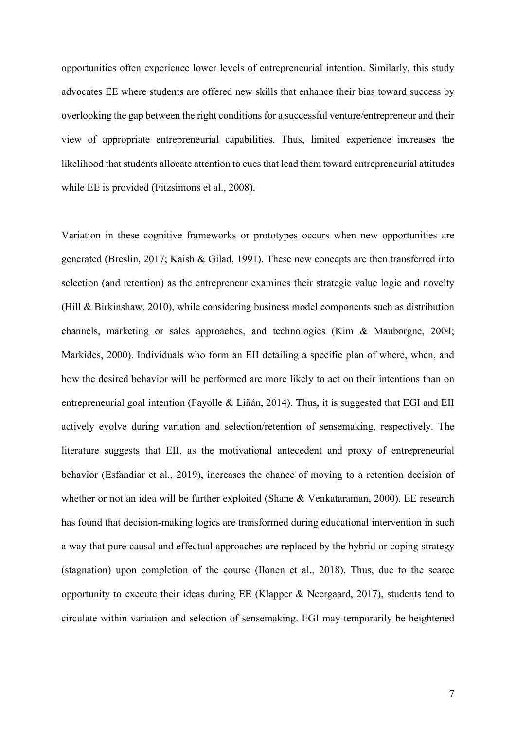opportunities often experience lower levels of entrepreneurial intention. Similarly, this study advocates EE where students are offered new skills that enhance their bias toward success by overlooking the gap between the right conditions for a successful venture/entrepreneur and their view of appropriate entrepreneurial capabilities. Thus, limited experience increases the likelihood that students allocate attention to cues that lead them toward entrepreneurial attitudes while EE is provided (Fitzsimons et al., 2008).

 generated (Breslin, 2017; Kaish & Gilad, 1991). These new concepts are then transferred into selection (and retention) as the entrepreneur examines their strategic value logic and novelty Variation in these cognitive frameworks or prototypes occurs when new opportunities are (Hill & Birkinshaw, 2010), while considering business model components such as distribution channels, marketing or sales approaches, and technologies (Kim & Mauborgne, 2004; Markides, 2000). Individuals who form an EII detailing a specific plan of where, when, and how the desired behavior will be performed are more likely to act on their intentions than on entrepreneurial goal intention (Fayolle & Liñán, 2014). Thus, it is suggested that EGI and EII actively evolve during variation and selection/retention of sensemaking, respectively. The literature suggests that EII, as the motivational antecedent and proxy of entrepreneurial behavior (Esfandiar et al., 2019), increases the chance of moving to a retention decision of whether or not an idea will be further exploited (Shane & Venkataraman, 2000). EE research has found that decision-making logics are transformed during educational intervention in such a way that pure causal and effectual approaches are replaced by the hybrid or coping strategy (stagnation) upon completion of the course (Ilonen et al., 2018). Thus, due to the scarce opportunity to execute their ideas during EE (Klapper & Neergaard, 2017), students tend to circulate within variation and selection of sensemaking. EGI may temporarily be heightened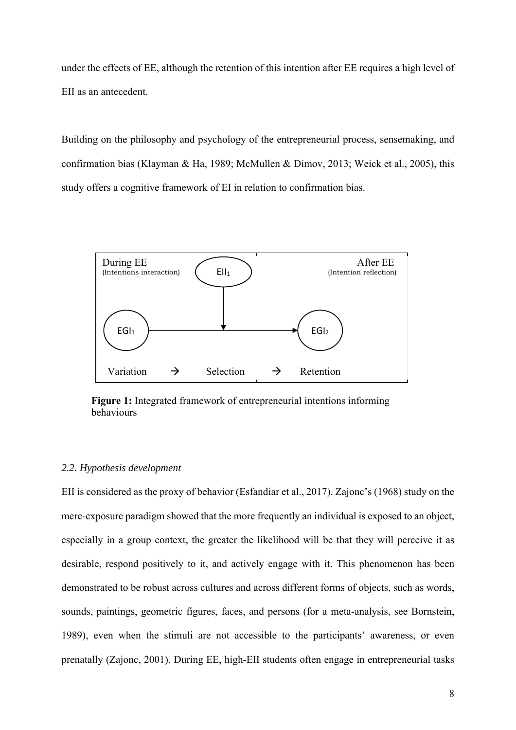under the effects of EE, although the retention of this intention after EE requires a high level of EII as an antecedent.

Building on the philosophy and psychology of the entrepreneurial process, sensemaking, and confirmation bias (Klayman & Ha, 1989; McMullen & Dimov, 2013; Weick et al., 2005), this study offers a cognitive framework of EI in relation to confirmation bias.



**Figure 1:** Integrated framework of entrepreneurial intentions informing behaviours

## *2.2. Hypothesis development*

EII is considered as the proxy of behavior (Esfandiar et al., 2017). Zajonc's (1968) study on the mere-exposure paradigm showed that the more frequently an individual is exposed to an object, especially in a group context, the greater the likelihood will be that they will perceive it as desirable, respond positively to it, and actively engage with it. This phenomenon has been demonstrated to be robust across cultures and across different forms of objects, such as words, sounds, paintings, geometric figures, faces, and persons (for a meta-analysis, see Bornstein, 1989), even when the stimuli are not accessible to the participants' awareness, or even prenatally (Zajonc, 2001). During EE, high-EII students often engage in entrepreneurial tasks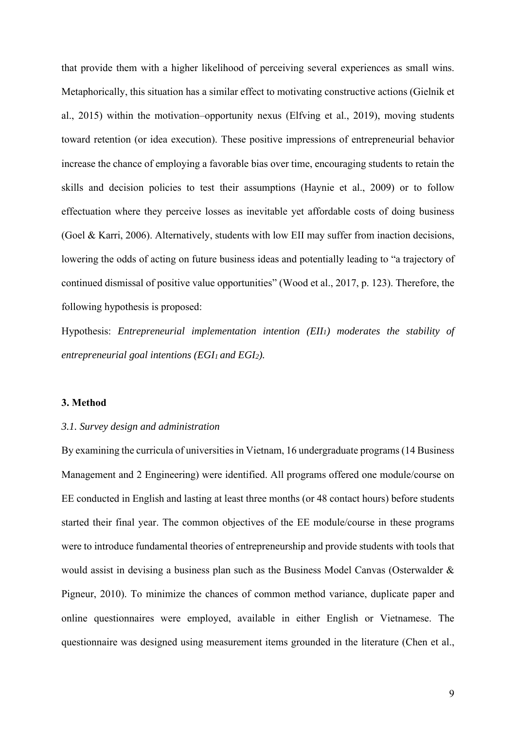effectuation where they perceive losses as inevitable yet affordable costs of doing business lowering the odds of acting on future business ideas and potentially leading to "a trajectory of that provide them with a higher likelihood of perceiving several experiences as small wins. Metaphorically, this situation has a similar effect to motivating constructive actions (Gielnik et al., 2015) within the motivation–opportunity nexus (Elfving et al., 2019), moving students toward retention (or idea execution). These positive impressions of entrepreneurial behavior increase the chance of employing a favorable bias over time, encouraging students to retain the skills and decision policies to test their assumptions (Haynie et al., 2009) or to follow (Goel & Karri, 2006). Alternatively, students with low EII may suffer from inaction decisions, continued dismissal of positive value opportunities" (Wood et al., 2017, p. 123). Therefore, the following hypothesis is proposed:

Hypothesis: *Entrepreneurial implementation intention (EII1) moderates the stability of*  entrepreneurial goal intentions (EGI1 and EGI2).

## **3. Method**

### *3.1. Survey design and administration*

 Management and 2 Engineering) were identified. All programs offered one module/course on By examining the curricula of universities in Vietnam, 16 undergraduate programs (14 Business EE conducted in English and lasting at least three months (or 48 contact hours) before students started their final year. The common objectives of the EE module/course in these programs were to introduce fundamental theories of entrepreneurship and provide students with tools that would assist in devising a business plan such as the Business Model Canvas (Osterwalder & Pigneur, 2010). To minimize the chances of common method variance, duplicate paper and online questionnaires were employed, available in either English or Vietnamese. The questionnaire was designed using measurement items grounded in the literature (Chen et al.,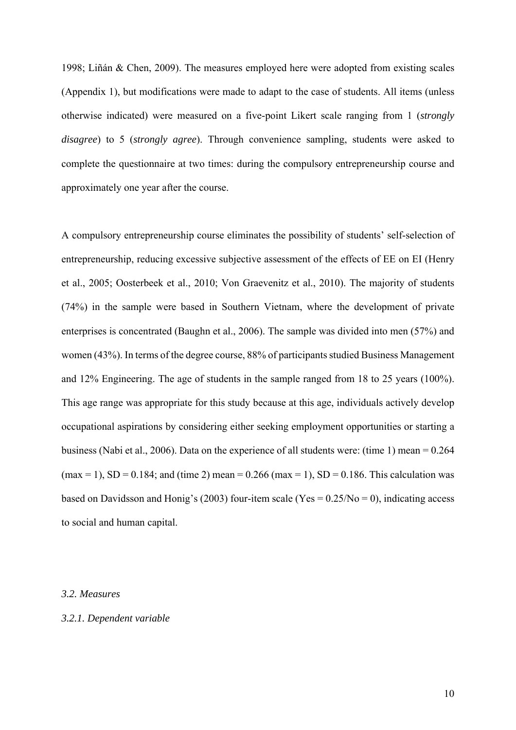1998; Liñán & Chen, 2009). The measures employed here were adopted from existing scales (Appendix 1), but modifications were made to adapt to the case of students. All items (unless otherwise indicated) were measured on a five-point Likert scale ranging from 1 (*strongly disagree*) to 5 (*strongly agree*). Through convenience sampling, students were asked to complete the questionnaire at two times: during the compulsory entrepreneurship course and approximately one year after the course.

A compulsory entrepreneurship course eliminates the possibility of students' self-selection of entrepreneurship, reducing excessive subjective assessment of the effects of EE on EI (Henry et al., 2005; Oosterbeek et al., 2010; Von Graevenitz et al., 2010). The majority of students (74%) in the sample were based in Southern Vietnam, where the development of private enterprises is concentrated (Baughn et al., 2006). The sample was divided into men (57%) and women (43%). In terms of the degree course, 88% of participants studied Business Management and 12% Engineering. The age of students in the sample ranged from 18 to 25 years (100%). This age range was appropriate for this study because at this age, individuals actively develop occupational aspirations by considering either seeking employment opportunities or starting a business (Nabi et al., 2006). Data on the experience of all students were: (time 1) mean = 0.264  $(\text{max} = 1), SD = 0.184;$  and  $(\text{time} 2)$  mean = 0.266 (max = 1), SD = 0.186. This calculation was based on Davidsson and Honig's (2003) four-item scale (Yes =  $0.25/N<sub>o</sub> = 0$ ), indicating access to social and human capital.

### *3.2. Measures*

## *3.2.1. Dependent variable*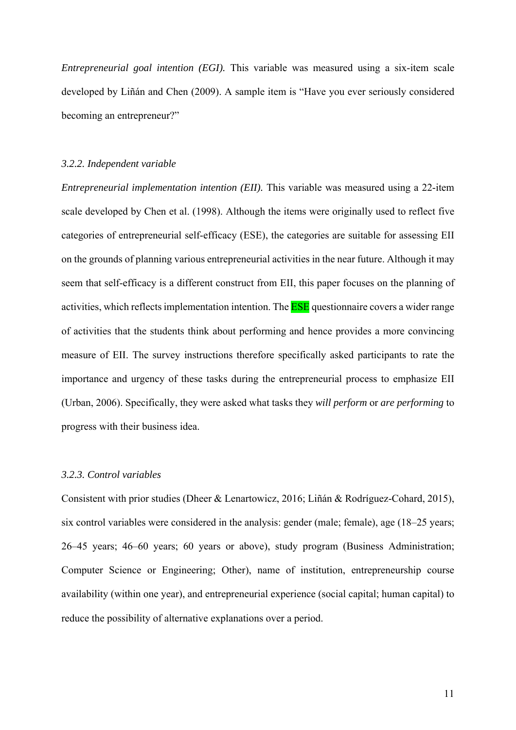*Entrepreneurial goal intention (EGI).* This variable was measured using a six-item scale developed by Liñán and Chen (2009). A sample item is "Have you ever seriously considered becoming an entrepreneur?"

#### *3.2.2. Independent variable*

 scale developed by Chen et al. (1998). Although the items were originally used to reflect five categories of entrepreneurial self-efficacy (ESE), the categories are suitable for assessing EII activities, which reflects implementation intention. The **ESE** questionnaire covers a wider range measure of EII. The survey instructions therefore specifically asked participants to rate the *Entrepreneurial implementation intention (EII).* This variable was measured using a 22-item on the grounds of planning various entrepreneurial activities in the near future. Although it may seem that self-efficacy is a different construct from EII, this paper focuses on the planning of of activities that the students think about performing and hence provides a more convincing importance and urgency of these tasks during the entrepreneurial process to emphasize EII (Urban, 2006). Specifically, they were asked what tasks they *will perform* or *are performing* to progress with their business idea.

### *3.2.3. Control variables*

 Consistent with prior studies (Dheer & Lenartowicz, 2016; Liñán & Rodríguez-Cohard, 2015), six control variables were considered in the analysis: gender (male; female), age (18–25 years; 26–45 years; 46–60 years; 60 years or above), study program (Business Administration; Computer Science or Engineering; Other), name of institution, entrepreneurship course availability (within one year), and entrepreneurial experience (social capital; human capital) to reduce the possibility of alternative explanations over a period.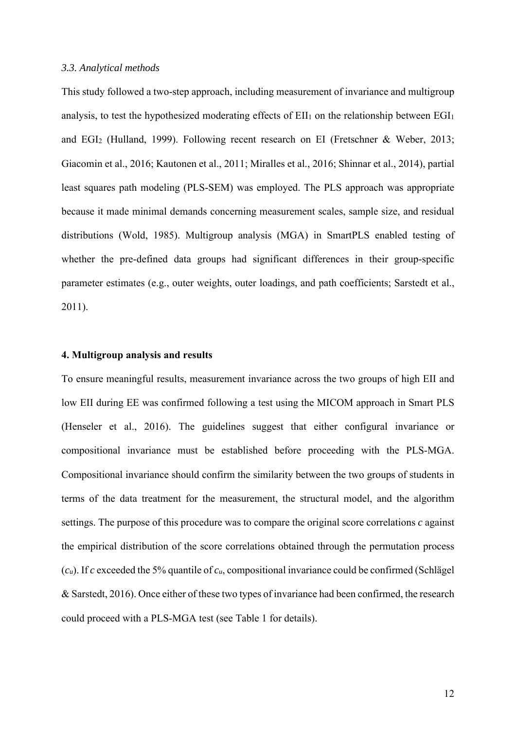#### *3.3. Analytical methods*

This study followed a two-step approach, including measurement of invariance and multigroup analysis, to test the hypothesized moderating effects of  $EII_1$  on the relationship between  $EGI_1$ and EGI2 (Hulland, 1999). Following recent research on EI (Fretschner & Weber, 2013; Giacomin et al., 2016; Kautonen et al., 2011; Miralles et al., 2016; Shinnar et al., 2014), partial least squares path modeling (PLS-SEM) was employed. The PLS approach was appropriate because it made minimal demands concerning measurement scales, sample size, and residual distributions (Wold, 1985). Multigroup analysis (MGA) in SmartPLS enabled testing of whether the pre-defined data groups had significant differences in their group-specific parameter estimates (e.g., outer weights, outer loadings, and path coefficients; Sarstedt et al., 2011).

### **4. Multigroup analysis and results**

 terms of the data treatment for the measurement, the structural model, and the algorithm & Sarstedt, 2016). Once either of these two types of invariance had been confirmed, the research To ensure meaningful results, measurement invariance across the two groups of high EII and low EII during EE was confirmed following a test using the MICOM approach in Smart PLS (Henseler et al., 2016). The guidelines suggest that either configural invariance or compositional invariance must be established before proceeding with the PLS-MGA. Compositional invariance should confirm the similarity between the two groups of students in settings. The purpose of this procedure was to compare the original score correlations *c* against the empirical distribution of the score correlations obtained through the permutation process (*cu*). If *c* exceeded the 5% quantile of *cu*, compositional invariance could be confirmed (Schlägel could proceed with a PLS-MGA test (see Table 1 for details).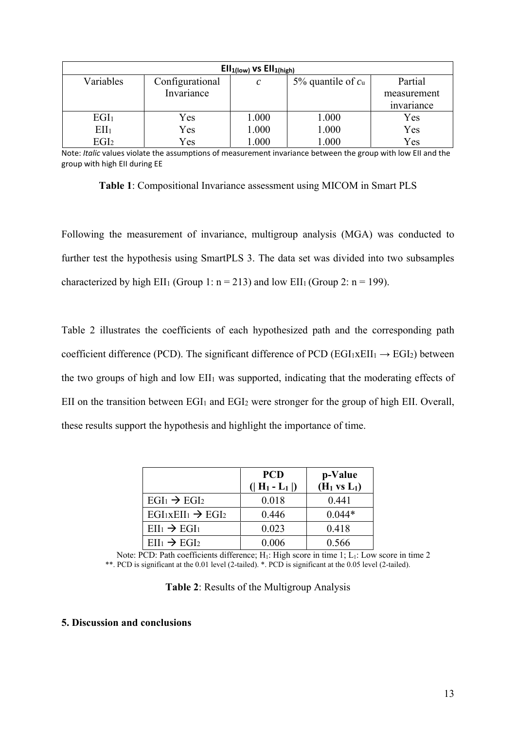| $Ell_{1(low)}$ vs $Ell_{1(high)}$ |                 |               |                     |             |  |  |  |
|-----------------------------------|-----------------|---------------|---------------------|-------------|--|--|--|
| Variables                         | Configurational | $\mathcal{C}$ | 5% quantile of $cu$ | Partial     |  |  |  |
|                                   | Invariance      |               |                     | measurement |  |  |  |
|                                   |                 |               |                     | invariance  |  |  |  |
| EGI <sub>1</sub>                  | Yes             | 1.000         | 1.000               | Yes         |  |  |  |
| EII <sub>1</sub>                  | Yes             | 1.000         | 1.000               | Yes         |  |  |  |
| EGI <sub>2</sub>                  | Yes             | 1.000         | 1.000               | Yes         |  |  |  |

 group with high EII during EE Note: *Italic* values violate the assumptions of measurement invariance between the group with low EII and the

**Table 1**: Compositional Invariance assessment using MICOM in Smart PLS

Following the measurement of invariance, multigroup analysis (MGA) was conducted to further test the hypothesis using SmartPLS 3. The data set was divided into two subsamples characterized by high EII<sub>1</sub> (Group 1:  $n = 213$ ) and low EII<sub>1</sub> (Group 2:  $n = 199$ ).

Table 2 illustrates the coefficients of each hypothesized path and the corresponding path coefficient difference (PCD). The significant difference of PCD (EGI<sub>1XEII1</sub>  $\rightarrow$  EGI<sub>2</sub>) between the two groups of high and low EII1 was supported, indicating that the moderating effects of EII on the transition between EGI<sub>1</sub> and EGI<sub>2</sub> were stronger for the group of high EII. Overall, these results support the hypothesis and highlight the importance of time.

|                                 | <b>PCD</b>      | p-Value        |
|---------------------------------|-----------------|----------------|
|                                 | $( H_1 - L_1 )$ | $(H_1 vs L_1)$ |
| $EGI_1 \rightarrow EGI_2$       | 0.018           | 0.441          |
| $EGI_1xEII_1 \rightarrow EGI_2$ | 0.446           | $0.044*$       |
| $Ell_1 \rightarrow EGI_1$       | 0.023           | 0.418          |
| $Ell_1 \rightarrow EGI_2$       | 0.006           | 0.566          |

 \*\*. PCD is significant at the 0.01 level (2-tailed). \*. PCD is significant at the 0.05 level (2-tailed). Note: PCD: Path coefficients difference; H<sub>1</sub>: High score in time 1; L<sub>1</sub>: Low score in time 2

| Table 2: Results of the Multigroup Analysis |  |  |  |  |  |  |  |
|---------------------------------------------|--|--|--|--|--|--|--|
|---------------------------------------------|--|--|--|--|--|--|--|

## **5. Discussion and conclusions**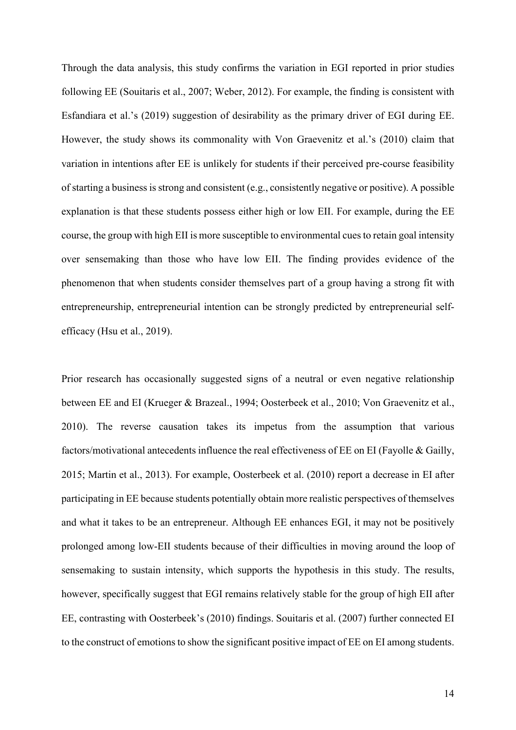Through the data analysis, this study confirms the variation in EGI reported in prior studies following EE (Souitaris et al., 2007; Weber, 2012). For example, the finding is consistent with Esfandiara et al.'s (2019) suggestion of desirability as the primary driver of EGI during EE. However, the study shows its commonality with Von Graevenitz et al.'s (2010) claim that variation in intentions after EE is unlikely for students if their perceived pre-course feasibility of starting a business is strong and consistent (e.g., consistently negative or positive). A possible explanation is that these students possess either high or low EII. For example, during the EE course, the group with high EII is more susceptible to environmental cues to retain goal intensity over sensemaking than those who have low EII. The finding provides evidence of the phenomenon that when students consider themselves part of a group having a strong fit with entrepreneurship, entrepreneurial intention can be strongly predicted by entrepreneurial selfefficacy (Hsu et al., 2019).

 factors/motivational antecedents influence the real effectiveness of EE on EI (Fayolle & Gailly, Prior research has occasionally suggested signs of a neutral or even negative relationship between EE and EI (Krueger & Brazeal., 1994; Oosterbeek et al., 2010; Von Graevenitz et al., 2010). The reverse causation takes its impetus from the assumption that various 2015; Martin et al., 2013). For example, Oosterbeek et al. (2010) report a decrease in EI after participating in EE because students potentially obtain more realistic perspectives of themselves and what it takes to be an entrepreneur. Although EE enhances EGI, it may not be positively prolonged among low-EII students because of their difficulties in moving around the loop of sensemaking to sustain intensity, which supports the hypothesis in this study. The results, however, specifically suggest that EGI remains relatively stable for the group of high EII after EE, contrasting with Oosterbeek's (2010) findings. Souitaris et al. (2007) further connected EI to the construct of emotions to show the significant positive impact of EE on EI among students.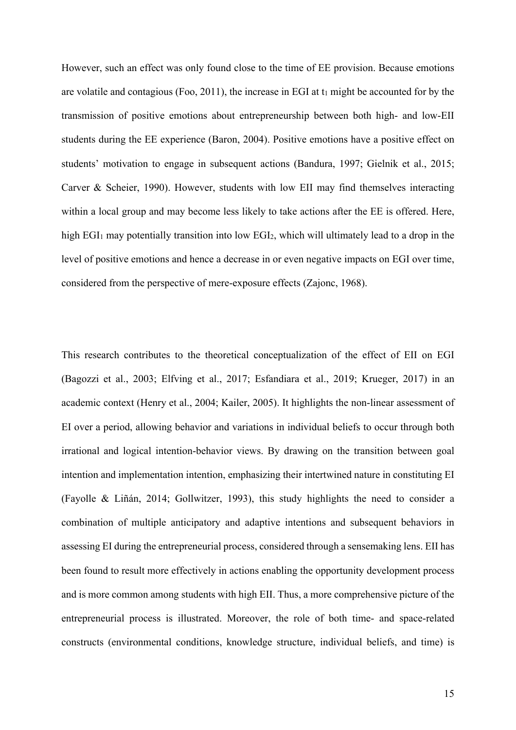high EGI<sub>1</sub> may potentially transition into low EGI<sub>2</sub>, which will ultimately lead to a drop in the level of positive emotions and hence a decrease in or even negative impacts on EGI over time, However, such an effect was only found close to the time of EE provision. Because emotions are volatile and contagious (Foo, 2011), the increase in EGI at  $t_1$  might be accounted for by the transmission of positive emotions about entrepreneurship between both high- and low-EII students during the EE experience (Baron, 2004). Positive emotions have a positive effect on students' motivation to engage in subsequent actions (Bandura, 1997; Gielnik et al., 2015; Carver & Scheier, 1990). However, students with low EII may find themselves interacting within a local group and may become less likely to take actions after the EE is offered. Here, considered from the perspective of mere-exposure effects (Zajonc, 1968).

 intention and implementation intention, emphasizing their intertwined nature in constituting EI combination of multiple anticipatory and adaptive intentions and subsequent behaviors in This research contributes to the theoretical conceptualization of the effect of EII on EGI (Bagozzi et al., 2003; Elfving et al., 2017; Esfandiara et al., 2019; Krueger, 2017) in an academic context (Henry et al., 2004; Kailer, 2005). It highlights the non-linear assessment of EI over a period, allowing behavior and variations in individual beliefs to occur through both irrational and logical intention-behavior views. By drawing on the transition between goal (Fayolle & Liñán, 2014; Gollwitzer, 1993), this study highlights the need to consider a assessing EI during the entrepreneurial process, considered through a sensemaking lens. EII has been found to result more effectively in actions enabling the opportunity development process and is more common among students with high EII. Thus, a more comprehensive picture of the entrepreneurial process is illustrated. Moreover, the role of both time- and space-related constructs (environmental conditions, knowledge structure, individual beliefs, and time) is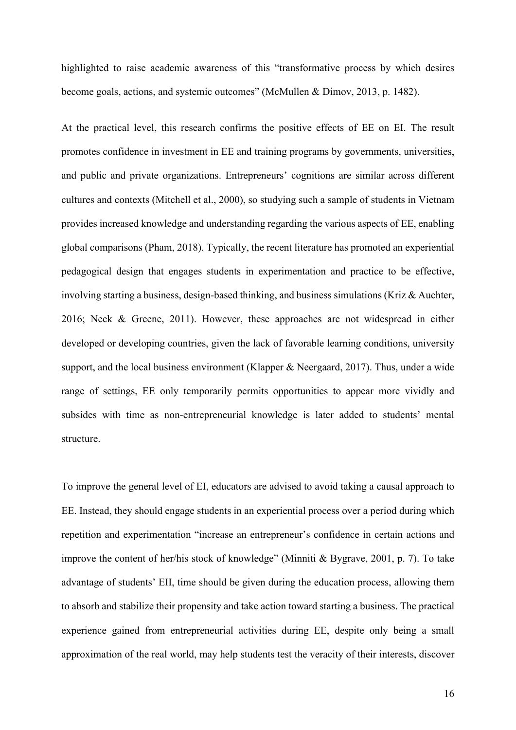highlighted to raise academic awareness of this "transformative process by which desires become goals, actions, and systemic outcomes" (McMullen & Dimov, 2013, p. 1482).

 and public and private organizations. Entrepreneurs' cognitions are similar across different At the practical level, this research confirms the positive effects of EE on EI. The result promotes confidence in investment in EE and training programs by governments, universities, cultures and contexts (Mitchell et al., 2000), so studying such a sample of students in Vietnam provides increased knowledge and understanding regarding the various aspects of EE, enabling global comparisons (Pham, 2018). Typically, the recent literature has promoted an experiential pedagogical design that engages students in experimentation and practice to be effective, involving starting a business, design-based thinking, and business simulations (Kriz & Auchter, 2016; Neck & Greene, 2011). However, these approaches are not widespread in either developed or developing countries, given the lack of favorable learning conditions, university support, and the local business environment (Klapper & Neergaard, 2017). Thus, under a wide range of settings, EE only temporarily permits opportunities to appear more vividly and subsides with time as non-entrepreneurial knowledge is later added to students' mental structure.

 To improve the general level of EI, educators are advised to avoid taking a causal approach to approximation of the real world, may help students test the veracity of their interests, discover EE. Instead, they should engage students in an experiential process over a period during which repetition and experimentation "increase an entrepreneur's confidence in certain actions and improve the content of her/his stock of knowledge" (Minniti & Bygrave, 2001, p. 7). To take advantage of students' EII, time should be given during the education process, allowing them to absorb and stabilize their propensity and take action toward starting a business. The practical experience gained from entrepreneurial activities during EE, despite only being a small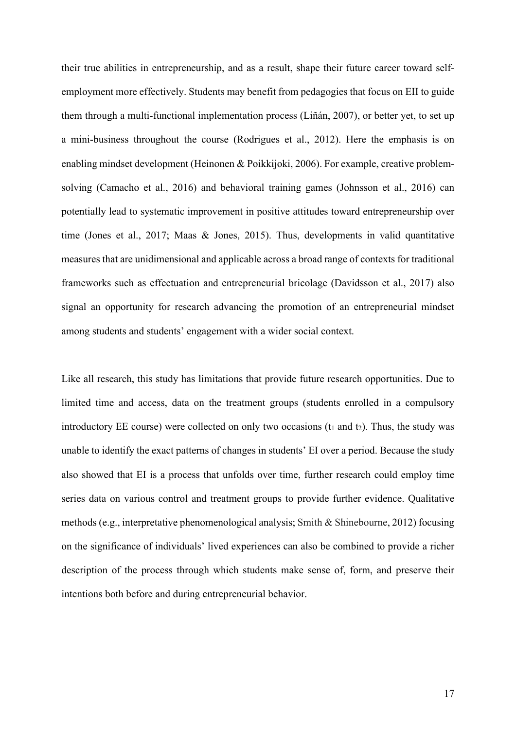their true abilities in entrepreneurship, and as a result, shape their future career toward selfemployment more effectively. Students may benefit from pedagogies that focus on EII to guide them through a multi-functional implementation process (Liñán, 2007), or better yet, to set up a mini-business throughout the course (Rodrigues et al., 2012). Here the emphasis is on enabling mindset development (Heinonen & Poikkijoki, 2006). For example, creative problemsolving (Camacho et al., 2016) and behavioral training games (Johnsson et al., 2016) can potentially lead to systematic improvement in positive attitudes toward entrepreneurship over time (Jones et al., 2017; Maas & Jones, 2015). Thus, developments in valid quantitative measures that are unidimensional and applicable across a broad range of contexts for traditional frameworks such as effectuation and entrepreneurial bricolage (Davidsson et al., 2017) also signal an opportunity for research advancing the promotion of an entrepreneurial mindset among students and students' engagement with a wider social context.

Like all research, this study has limitations that provide future research opportunities. Due to limited time and access, data on the treatment groups (students enrolled in a compulsory introductory EE course) were collected on only two occasions  $(t_1$  and  $t_2$ ). Thus, the study was unable to identify the exact patterns of changes in students' EI over a period. Because the study also showed that EI is a process that unfolds over time, further research could employ time series data on various control and treatment groups to provide further evidence. Qualitative methods (e.g., interpretative phenomenological analysis; Smith & Shinebourne, 2012) focusing on the significance of individuals' lived experiences can also be combined to provide a richer description of the process through which students make sense of, form, and preserve their intentions both before and during entrepreneurial behavior.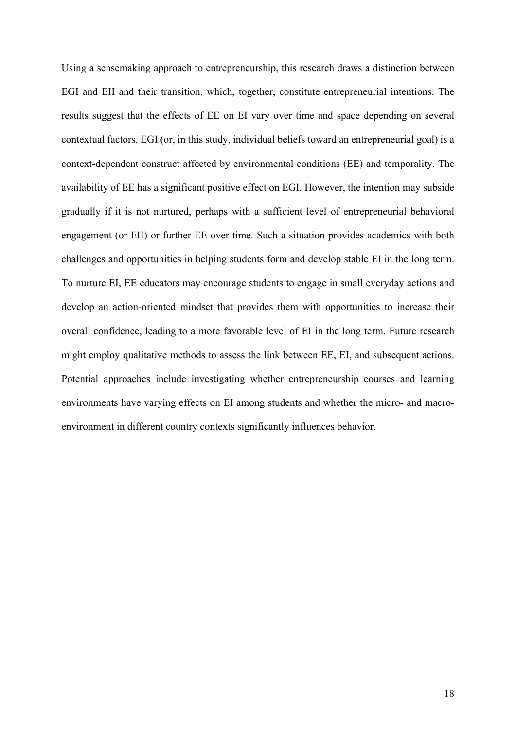Using a sensemaking approach to entrepreneurship, this research draws a distinction between availability of EE has a significant positive effect on EGI. However, the intention may subside gradually if it is not nurtured, perhaps with a sufficient level of entrepreneurial behavioral EGI and EII and their transition, which, together, constitute entrepreneurial intentions. The results suggest that the effects of EE on EI vary over time and space depending on several contextual factors. EGI (or, in this study, individual beliefs toward an entrepreneurial goal) is a context-dependent construct affected by environmental conditions (EE) and temporality. The engagement (or EII) or further EE over time. Such a situation provides academics with both challenges and opportunities in helping students form and develop stable EI in the long term. To nurture EI, EE educators may encourage students to engage in small everyday actions and develop an action-oriented mindset that provides them with opportunities to increase their overall confidence, leading to a more favorable level of EI in the long term. Future research might employ qualitative methods to assess the link between EE, EI, and subsequent actions. Potential approaches include investigating whether entrepreneurship courses and learning environments have varying effects on EI among students and whether the micro- and macroenvironment in different country contexts significantly influences behavior.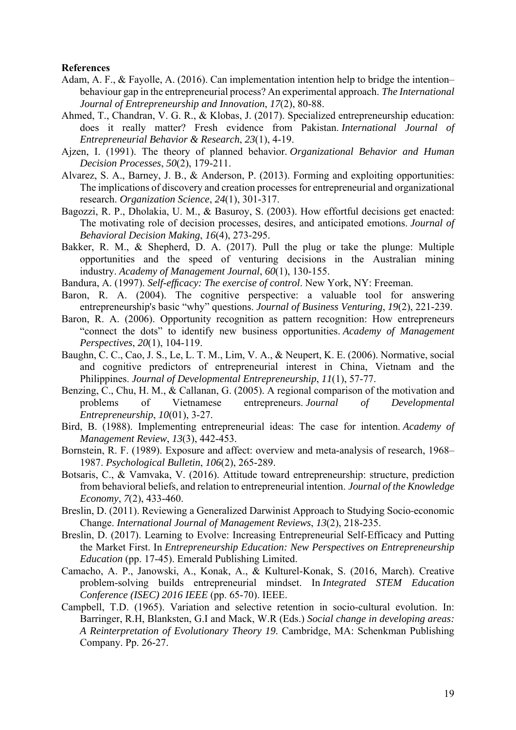#### **References**

- Adam, A. F., & Fayolle, A. (2016). Can implementation intention help to bridge the intention– behaviour gap in the entrepreneurial process? An experimental approach. *The International Journal of Entrepreneurship and Innovation*, *17*(2), 80-88.
- does it really matter? Fresh evidence from Pakistan. *International Journal of*  Ahmed, T., Chandran, V. G. R., & Klobas, J. (2017). Specialized entrepreneurship education: *Entrepreneurial Behavior & Research*, *23*(1), 4-19.
- Ajzen, I. (1991). The theory of planned behavior. *Organizational Behavior and Human Decision Processes*, *50*(2), 179-211.
- Alvarez, S. A., Barney, J. B., & Anderson, P. (2013). Forming and exploiting opportunities: The implications of discovery and creation processes for entrepreneurial and organizational research. *Organization Science*, *24*(1), 301-317.
- Bagozzi, R. P., Dholakia, U. M., & Basuroy, S. (2003). How effortful decisions get enacted: The motivating role of decision processes, desires, and anticipated emotions. *Journal of Behavioral Decision Making*, *16*(4), 273-295.
- Bakker, R. M., & Shepherd, D. A. (2017). Pull the plug or take the plunge: Multiple opportunities and the speed of venturing decisions in the Australian mining industry. *Academy of Management Journal*, *60*(1), 130-155.
- Bandura, A. (1997). *Self-efficacy: The exercise of control*. New York, NY: Freeman.
- Baron, R. A. (2004). The cognitive perspective: a valuable tool for answering entrepreneurship's basic "why" questions. *Journal of Business Venturing*, *19*(2), 221-239.
- Baron, R. A. (2006). Opportunity recognition as pattern recognition: How entrepreneurs "connect the dots" to identify new business opportunities. *Academy of Management Perspectives*, *20*(1), 104-119.
- Baughn, C. C., Cao, J. S., Le, L. T. M., Lim, V. A., & Neupert, K. E. (2006). Normative, social and cognitive predictors of entrepreneurial interest in China, Vietnam and the Philippines. *Journal of Developmental Entrepreneurship*, *11*(1), 57-77.
- Benzing, C., Chu, H. M., & Callanan, G. (2005). A regional comparison of the motivation and problems of Vietnamese entrepreneurs. *Journal of Developmental Entrepreneurship*, *10*(01), 3-27.
- Bird, B. (1988). Implementing entrepreneurial ideas: The case for intention. *Academy of Management Review*, *13*(3), 442-453.
- Bornstein, R. F. (1989). Exposure and affect: overview and meta-analysis of research, 1968– 1987. *Psychological Bulletin*, *106*(2), 265-289.
- Botsaris, C., & Vamvaka, V. (2016). Attitude toward entrepreneurship: structure, prediction from behavioral beliefs, and relation to entrepreneurial intention. *Journal of the Knowledge Economy*, *7*(2), 433-460.
- Breslin, D. (2011). Reviewing a Generalized Darwinist Approach to Studying Socio‐economic Change. *International Journal of Management Reviews*, *13*(2), 218-235.
- Breslin, D. (2017). Learning to Evolve: Increasing Entrepreneurial Self-Efficacy and Putting the Market First. In *Entrepreneurship Education: New Perspectives on Entrepreneurship Education* (pp. 17-45). Emerald Publishing Limited.
- Camacho, A. P., Janowski, A., Konak, A., & Kulturel-Konak, S. (2016, March). Creative problem-solving builds entrepreneurial mindset. In *Integrated STEM Education Conference (ISEC) 2016 IEEE* (pp. 65-70). IEEE.
- Campbell, T.D. (1965). Variation and selective retention in socio-cultural evolution. In: Barringer, R.H, Blanksten, G.I and Mack, W.R (Eds.) *Social change in developing areas: A Reinterpretation of Evolutionary Theory 19*. Cambridge, MA: Schenkman Publishing Company. Pp. 26-27.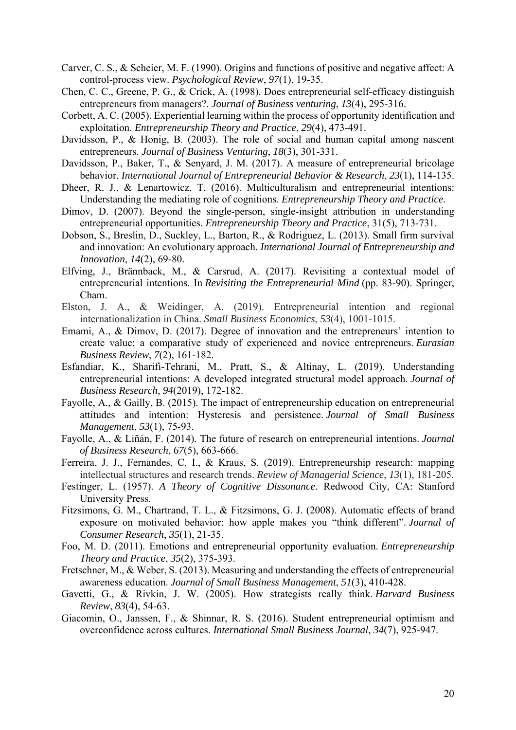- Carver, C. S., & Scheier, M. F. (1990). Origins and functions of positive and negative affect: A control-process view. *Psychological Review*, *97*(1), 19-35.
- Chen, C. C., Greene, P. G., & Crick, A. (1998). Does entrepreneurial self-efficacy distinguish entrepreneurs from managers?. *Journal of Business venturing*, *13*(4), 295-316.
- Corbett, A. C. (2005). Experiential learning within the process of opportunity identification and exploitation. *Entrepreneurship Theory and Practice*, *29*(4), 473-491.
- Davidsson, P., & Honig, B. (2003). The role of social and human capital among nascent entrepreneurs. *Journal of Business Venturing*, *18*(3), 301-331.
- Davidsson, P., Baker, T., & Senyard, J. M. (2017). A measure of entrepreneurial bricolage behavior. *International Journal of Entrepreneurial Behavior & Research*, *23*(1), 114-135.
- Dheer, R. J., & Lenartowicz, T. (2016). Multiculturalism and entrepreneurial intentions: Understanding the mediating role of cognitions. *Entrepreneurship Theory and Practice*.
- Dimov, D. (2007). Beyond the single-person, single-insight attribution in understanding entrepreneurial opportunities. *Entrepreneurship Theory and Practice*, 31(5), 713-731.
- Dobson, S., Breslin, D., Suckley, L., Barton, R., & Rodriguez, L. (2013). Small firm survival and innovation: An evolutionary approach. *International Journal of Entrepreneurship and Innovation*, *14*(2), 69-80.
- Elfving, J., Brännback, M., & Carsrud, A. (2017). Revisiting a contextual model of entrepreneurial intentions. In *Revisiting the Entrepreneurial Mind* (pp. 83-90). Springer, Cham.
- Elston, J. A., & Weidinger, A. (2019). Entrepreneurial intention and regional internationalization in China. *Small Business Economics*, *53*(4), 1001-1015.
- Emami, A., & Dimov, D. (2017). Degree of innovation and the entrepreneurs' intention to create value: a comparative study of experienced and novice entrepreneurs. *Eurasian Business Review*, *7*(2), 161-182.
- Esfandiar, K., Sharifi-Tehrani, M., Pratt, S., & Altinay, L. (2019). Understanding entrepreneurial intentions: A developed integrated structural model approach. *Journal of Business Research*, *94*(2019), 172-182.
- Fayolle, A., & Gailly, B. (2015). The impact of entrepreneurship education on entrepreneurial attitudes and intention: Hysteresis and persistence. *Journal of Small Business Management*, *53*(1), 75-93.
- Fayolle, A., & Liñán, F. (2014). The future of research on entrepreneurial intentions. *Journal of Business Research*, *67*(5), 663-666.
- Ferreira, J. J., Fernandes, C. I., & Kraus, S. (2019). Entrepreneurship research: mapping intellectual structures and research trends. *Review of Managerial Science*, *13*(1), 181-205.
- Festinger, L. (1957). *A Theory of Cognitive Dissonance*. Redwood City, CA: Stanford University Press.
- Fitzsimons, G. M., Chartrand, T. L., & Fitzsimons, G. J. (2008). Automatic effects of brand exposure on motivated behavior: how apple makes you "think different". *Journal of Consumer Research*, *35*(1), 21-35.
- Foo, M. D. (2011). Emotions and entrepreneurial opportunity evaluation. *Entrepreneurship Theory and Practice*, *35*(2), 375-393.
- Fretschner, M., & Weber, S. (2013). Measuring and understanding the effects of entrepreneurial awareness education. *Journal of Small Business Management*, *51*(3), 410-428.
- Gavetti, G., & Rivkin, J. W. (2005). How strategists really think. *Harvard Business Review*, *83*(4), 54-63.
- Giacomin, O., Janssen, F., & Shinnar, R. S. (2016). Student entrepreneurial optimism and overconfidence across cultures. *International Small Business Journal*, *34*(7), 925-947.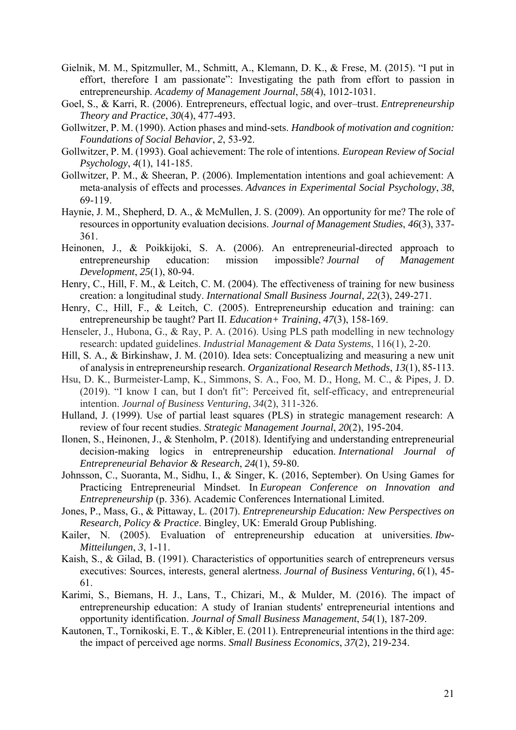- Gielnik, M. M., Spitzmuller, M., Schmitt, A., Klemann, D. K., & Frese, M. (2015). "I put in effort, therefore I am passionate": Investigating the path from effort to passion in entrepreneurship. *Academy of Management Journal*, *58*(4), 1012-1031.
- Goel, S., & Karri, R. (2006). Entrepreneurs, effectual logic, and over–trust. *Entrepreneurship Theory and Practice*, *30*(4), 477-493.
- Gollwitzer, P. M. (1990). Action phases and mind-sets. *Handbook of motivation and cognition: Foundations of Social Behavior*, *2*, 53-92.
- Gollwitzer, P. M. (1993). Goal achievement: The role of intentions. *European Review of Social Psychology*, *4*(1), 141-185.
- Gollwitzer, P. M., & Sheeran, P. (2006). Implementation intentions and goal achievement: A meta‐analysis of effects and processes. *Advances in Experimental Social Psychology*, *38*, 69-119.
- Haynie, J. M., Shepherd, D. A., & McMullen, J. S. (2009). An opportunity for me? The role of resources in opportunity evaluation decisions. *Journal of Management Studies*, *46*(3), 337- 361.
- Heinonen, J., & Poikkijoki, S. A. (2006). An entrepreneurial-directed approach to entrepreneurship education: mission impossible? *Journal of Management Development*, *25*(1), 80-94.
- Henry, C., Hill, F. M., & Leitch, C. M. (2004). The effectiveness of training for new business creation: a longitudinal study. *International Small Business Journal*, *22*(3), 249-271.
- Henry, C., Hill, F., & Leitch, C. (2005). Entrepreneurship education and training: can entrepreneurship be taught? Part II. *Education+ Training*, *47*(3), 158-169.
- Henseler, J., Hubona, G., & Ray, P. A. (2016). Using PLS path modelling in new technology research: updated guidelines. *Industrial Management & Data Systems*, 116(1), 2-20.
- Hill, S. A., & Birkinshaw, J. M. (2010). Idea sets: Conceptualizing and measuring a new unit of analysis in entrepreneurship research. *Organizational Research Methods*, *13*(1), 85-113.
- (2019). "I know I can, but I don't fit": Perceived fit, self-efficacy, and entrepreneurial Hsu, D. K., Burmeister-Lamp, K., Simmons, S. A., Foo, M. D., Hong, M. C., & Pipes, J. D. intention. *Journal of Business Venturing*, *34*(2), 311-326.
- Hulland, J. (1999). Use of partial least squares (PLS) in strategic management research: A review of four recent studies. *Strategic Management Journal*, *20*(2), 195-204.
- Ilonen, S., Heinonen, J., & Stenholm, P. (2018). Identifying and understanding entrepreneurial decision-making logics in entrepreneurship education. *International Journal of Entrepreneurial Behavior & Research*, *24*(1), 59-80.
- Johnsson, C., Suoranta, M., Sidhu, I., & Singer, K. (2016, September). On Using Games for Practicing Entrepreneurial Mindset. In *European Conference on Innovation and Entrepreneurship* (p. 336). Academic Conferences International Limited.
- Jones, P., Mass, G., & Pittaway, L. (2017). *Entrepreneurship Education: New Perspectives on Research, Policy & Practice*. Bingley, UK: Emerald Group Publishing.
- Kailer, N. (2005). Evaluation of entrepreneurship education at universities. *Ibw-Mitteilungen*, *3*, 1-11.
- Kaish, S., & Gilad, B. (1991). Characteristics of opportunities search of entrepreneurs versus executives: Sources, interests, general alertness. *Journal of Business Venturing*, *6*(1), 45- 61.
- Karimi, S., Biemans, H. J., Lans, T., Chizari, M., & Mulder, M. (2016). The impact of entrepreneurship education: A study of Iranian students' entrepreneurial intentions and opportunity identification. *Journal of Small Business Management*, *54*(1), 187-209.
- Kautonen, T., Tornikoski, E. T., & Kibler, E. (2011). Entrepreneurial intentions in the third age: the impact of perceived age norms. *Small Business Economics*, *37*(2), 219-234.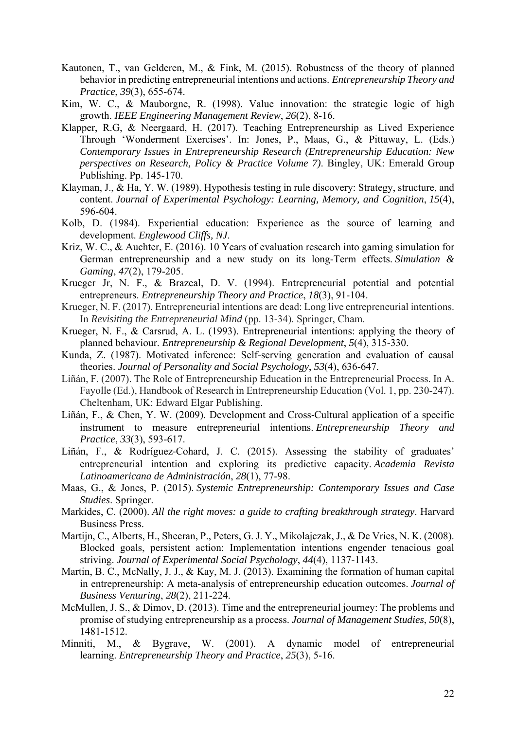- Kautonen, T., van Gelderen, M., & Fink, M. (2015). Robustness of the theory of planned behavior in predicting entrepreneurial intentions and actions. *Entrepreneurship Theory and Practice*, *39*(3), 655-674.
- Kim, W. C., & Mauborgne, R. (1998). Value innovation: the strategic logic of high growth. *IEEE Engineering Management Review*, *26*(2), 8-16.
- Klapper, R.G, & Neergaard, H. (2017). Teaching Entrepreneurship as Lived Experience Through 'Wonderment Exercises'. In: Jones, P., Maas, G., & Pittaway, L. (Eds.) *Contemporary Issues in Entrepreneurship Research (Entrepreneurship Education: New perspectives on Research, Policy & Practice Volume 7)*. Bingley, UK: Emerald Group Publishing. Pp. 145-170.
- Klayman, J., & Ha, Y. W. (1989). Hypothesis testing in rule discovery: Strategy, structure, and content. *Journal of Experimental Psychology: Learning, Memory, and Cognition*, *15*(4), 596-604.
- Kolb, D. (1984). Experiential education: Experience as the source of learning and development. *Englewood Cliffs, NJ*.
- Kriz, W. C., & Auchter, E. (2016). 10 Years of evaluation research into gaming simulation for German entrepreneurship and a new study on its long-Term effects. *Simulation & Gaming*, *47*(2), 179-205.
- Krueger Jr, N. F., & Brazeal, D. V. (1994). Entrepreneurial potential and potential entrepreneurs. *Entrepreneurship Theory and Practice*, *18*(3), 91-104.
- Krueger, N. F. (2017). Entrepreneurial intentions are dead: Long live entrepreneurial intentions. In *Revisiting the Entrepreneurial Mind* (pp. 13-34). Springer, Cham.
- Krueger, N. F., & Carsrud, A. L. (1993). Entrepreneurial intentions: applying the theory of planned behaviour. *Entrepreneurship & Regional Development*, *5*(4), 315-330.
- Kunda, Z. (1987). Motivated inference: Self-serving generation and evaluation of causal theories. *Journal of Personality and Social Psychology*, *53*(4), 636-647.
- Liñán, F. (2007). The Role of Entrepreneurship Education in the Entrepreneurial Process. In A. Fayolle (Ed.), Handbook of Research in Entrepreneurship Education (Vol. 1, pp. 230-247). Cheltenham, UK: Edward Elgar Publishing.
- Liñán, F., & Chen, Y. W. (2009). Development and Cross‐Cultural application of a specific instrument to measure entrepreneurial intentions. *Entrepreneurship Theory and Practice*, *33*(3), 593-617.
- Liñán, F., & Rodríguez‐Cohard, J. C. (2015). Assessing the stability of graduates' entrepreneurial intention and exploring its predictive capacity. *Academia Revista Latinoamericana de Administración*, *28*(1), 77-98.
- Maas, G., & Jones, P. (2015). *Systemic Entrepreneurship: Contemporary Issues and Case Studies*. Springer.
- Markides, C. (2000). *All the right moves: a guide to crafting breakthrough strategy*. Harvard Business Press.
- Martijn, C., Alberts, H., Sheeran, P., Peters, G. J. Y., Mikolajczak, J., & De Vries, N. K. (2008). Blocked goals, persistent action: Implementation intentions engender tenacious goal striving. *Journal of Experimental Social Psychology*, *44*(4), 1137-1143.
- in entrepreneurship: A meta-analysis of entrepreneurship education outcomes. *Journal of*  Martin, B. C., McNally, J. J., & Kay, M. J. (2013). Examining the formation of human capital *Business Venturing*, *28*(2), 211-224.
- McMullen, J. S., & Dimov, D. (2013). Time and the entrepreneurial journey: The problems and promise of studying entrepreneurship as a process. *Journal of Management Studies*, *50*(8), 1481-1512.
- Minniti, M., & Bygrave, W. (2001). A dynamic model of entrepreneurial learning. *Entrepreneurship Theory and Practice*, *25*(3), 5-16.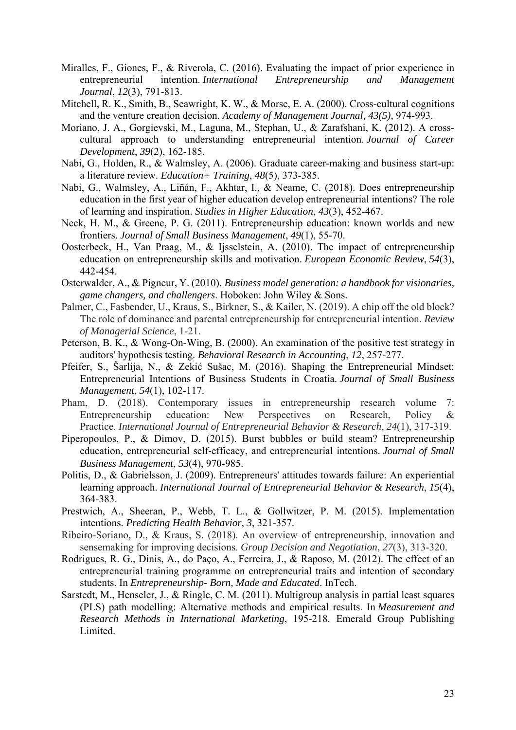- Miralles, F., Giones, F., & Riverola, C. (2016). Evaluating the impact of prior experience in entrepreneurial intention. *International Entrepreneurship and Management Journal*, *12*(3), 791-813.
- Mitchell, R. K., Smith, B., Seawright, K. W., & Morse, E. A. (2000). Cross-cultural cognitions and the venture creation decision. *Academy of Management Journal, 43(5),* 974-993.
- Moriano, J. A., Gorgievski, M., Laguna, M., Stephan, U., & Zarafshani, K. (2012). A crosscultural approach to understanding entrepreneurial intention. *Journal of Career Development*, *39*(2), 162-185.
- Nabi, G., Holden, R., & Walmsley, A. (2006). Graduate career-making and business start-up: a literature review. *Education+ Training*, *48*(5), 373-385.
- Nabi, G., Walmsley, A., Liñán, F., Akhtar, I., & Neame, C. (2018). Does entrepreneurship education in the first year of higher education develop entrepreneurial intentions? The role of learning and inspiration. *Studies in Higher Education*, *43*(3), 452-467.
- Neck, H. M., & Greene, P. G. (2011). Entrepreneurship education: known worlds and new frontiers. *Journal of Small Business Management*, *49*(1), 55-70.
- Oosterbeek, H., Van Praag, M., & Ijsselstein, A. (2010). The impact of entrepreneurship education on entrepreneurship skills and motivation. *European Economic Review*, *54*(3), 442-454.
- Osterwalder, A., & Pigneur, Y. (2010). *Business model generation: a handbook for visionaries, game changers, and challengers*. Hoboken: John Wiley & Sons.
- Palmer, C., Fasbender, U., Kraus, S., Birkner, S., & Kailer, N. (2019). A chip off the old block? The role of dominance and parental entrepreneurship for entrepreneurial intention. *Review of Managerial Science*, 1-21.
- Peterson, B. K., & Wong-On-Wing, B. (2000). An examination of the positive test strategy in auditors' hypothesis testing. *Behavioral Research in Accounting*, *12*, 257-277.
- Pfeifer, S., Šarlija, N., & Zekić Sušac, M. (2016). Shaping the Entrepreneurial Mindset: Entrepreneurial Intentions of Business Students in Croatia. *Journal of Small Business Management*, *54*(1), 102-117.
- Pham, D. (2018). Contemporary issues in entrepreneurship research volume 7: Entrepreneurship education: New Perspectives on Research, Policy & Practice. *International Journal of Entrepreneurial Behavior & Research*, *24*(1), 317-319.
- Piperopoulos, P., & Dimov, D. (2015). Burst bubbles or build steam? Entrepreneurship education, entrepreneurial self‐efficacy, and entrepreneurial intentions. *Journal of Small Business Management*, *53*(4), 970-985.
- Politis, D., & Gabrielsson, J. (2009). Entrepreneurs' attitudes towards failure: An experiential learning approach. *International Journal of Entrepreneurial Behavior & Research*, *15*(4), 364-383.
- Prestwich, A., Sheeran, P., Webb, T. L., & Gollwitzer, P. M. (2015). Implementation intentions. *Predicting Health Behavior*, *3*, 321-357.
- Ribeiro-Soriano, D., & Kraus, S. (2018). An overview of entrepreneurship, innovation and sensemaking for improving decisions. *Group Decision and Negotiation*, *27*(3), 313-320.
- Rodrigues, R. G., Dinis, A., do Paço, A., Ferreira, J., & Raposo, M. (2012). The effect of an entrepreneurial training programme on entrepreneurial traits and intention of secondary students. In *Entrepreneurship- Born, Made and Educated*. InTech.
- Sarstedt, M., Henseler, J., & Ringle, C. M. (2011). Multigroup analysis in partial least squares (PLS) path modelling: Alternative methods and empirical results. In *Measurement and Research Methods in International Marketing*, 195-218. Emerald Group Publishing Limited.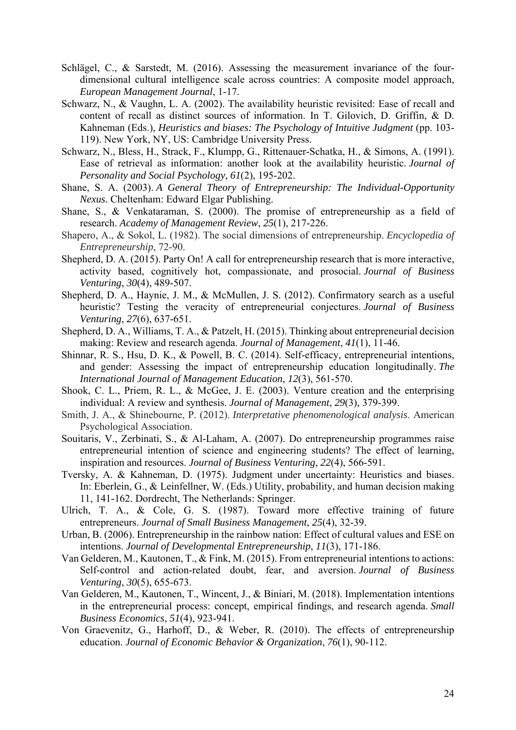- Schlägel, C., & Sarstedt, M. (2016). Assessing the measurement invariance of the fourdimensional cultural intelligence scale across countries: A composite model approach, *European Management Journal*, 1-17.
- Schwarz, N., & Vaughn, L. A. (2002). The availability heuristic revisited: Ease of recall and content of recall as distinct sources of information. In T. Gilovich, D. Griffin, & D. Kahneman (Eds.), *Heuristics and biases: The Psychology of Intuitive Judgment* (pp. 103-119). New York, NY, US: Cambridge University Press.
- Schwarz, N., Bless, H., Strack, F., Klumpp, G., Rittenauer-Schatka, H., & Simons, A. (1991). Ease of retrieval as information: another look at the availability heuristic. *Journal of Personality and Social Psychology*, *61*(2), 195-202.
- Shane, S. A. (2003). *A General Theory of Entrepreneurship: The Individual-Opportunity Nexus*. Cheltenham: Edward Elgar Publishing.
- Shane, S., & Venkataraman, S. (2000). The promise of entrepreneurship as a field of research. *Academy of Management Review*, *25*(1), 217-226.
- *Entrepreneurship*, 72-90. Shapero, A., & Sokol, L. (1982). The social dimensions of entrepreneurship. *Encyclopedia of*
- Shepherd, D. A. (2015). Party On! A call for entrepreneurship research that is more interactive, activity based, cognitively hot, compassionate, and prosocial. *Journal of Business Venturing*, *30*(4), 489-507.
- Shepherd, D. A., Haynie, J. M., & McMullen, J. S. (2012). Confirmatory search as a useful heuristic? Testing the veracity of entrepreneurial conjectures. *Journal of Business Venturing*, *27*(6), 637-651.
- Shepherd, D. A., Williams, T. A., & Patzelt, H. (2015). Thinking about entrepreneurial decision making: Review and research agenda. *Journal of Management*, *41*(1), 11-46.
- and gender: Assessing the impact of entrepreneurship education longitudinally. *The*  Shinnar, R. S., Hsu, D. K., & Powell, B. C. (2014). Self-efficacy, entrepreneurial intentions, *International Journal of Management Education*, *12*(3), 561-570.
- Shook, C. L., Priem, R. L., & McGee, J. E. (2003). Venture creation and the enterprising individual: A review and synthesis. *Journal of Management*, *29*(3), 379-399.
- Smith, J. A., & Shinebourne, P. (2012). *Interpretative phenomenological analysis*. American Psychological Association.
- Souitaris, V., Zerbinati, S., & Al-Laham, A. (2007). Do entrepreneurship programmes raise entrepreneurial intention of science and engineering students? The effect of learning, inspiration and resources. *Journal of Business Venturing*, *22*(4), 566-591.
- Tversky, A. & Kahneman, D. (1975). Judgment under uncertainty: Heuristics and biases. In: Eberlein, G., & Leinfellner, W. (Eds.) Utility, probability, and human decision making 11, 141-162. Dordrecht, The Netherlands: Springer.
- Ulrich, T. A., & Cole, G. S. (1987). Toward more effective training of future entrepreneurs. *Journal of Small Business Management*, *25*(4), 32-39.
- Urban, B. (2006). Entrepreneurship in the rainbow nation: Effect of cultural values and ESE on intentions. *Journal of Developmental Entrepreneurship*, *11*(3), 171-186.
- Van Gelderen, M., Kautonen, T., & Fink, M. (2015). From entrepreneurial intentions to actions: Self-control and action-related doubt, fear, and aversion. *Journal of Business Venturing*, *30*(5), 655-673.
- Van Gelderen, M., Kautonen, T., Wincent, J., & Biniari, M. (2018). Implementation intentions in the entrepreneurial process: concept, empirical findings, and research agenda. *Small Business Economics*, *51*(4), 923-941.
- Von Graevenitz, G., Harhoff, D., & Weber, R. (2010). The effects of entrepreneurship education. *Journal of Economic Behavior & Organization*, *76*(1), 90-112.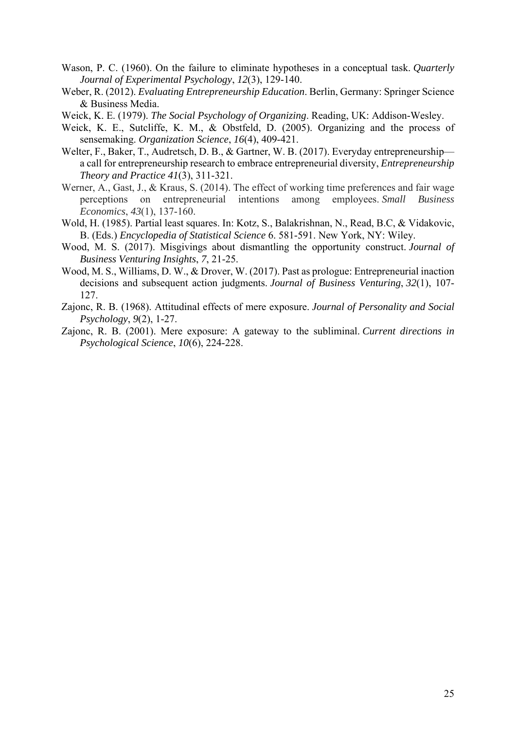- Wason, P. C. (1960). On the failure to eliminate hypotheses in a conceptual task. *Quarterly Journal of Experimental Psychology*, *12*(3), 129-140.
- Weber, R. (2012). *Evaluating Entrepreneurship Education*. Berlin, Germany: Springer Science & Business Media.
- Weick, K. E. (1979). *The Social Psychology of Organizing*. Reading, UK: Addison-Wesley.
- Weick, K. E., Sutcliffe, K. M., & Obstfeld, D. (2005). Organizing and the process of sensemaking. *Organization Science*, *16*(4), 409-421.
- Welter, F., Baker, T., Audretsch, D. B., & Gartner, W. B. (2017). Everyday entrepreneurship a call for entrepreneurship research to embrace entrepreneurial diversity, *Entrepreneurship Theory and Practice 41*(3), 311-321.
- perceptions on entrepreneurial intentions among employees. *Small Business*  Werner, A., Gast, J., & Kraus, S. (2014). The effect of working time preferences and fair wage *Economics*, *43*(1), 137-160.
- Wold, H. (1985). Partial least squares. In: Kotz, S., Balakrishnan, N., Read, B.C, & Vidakovic, B. (Eds.) *Encyclopedia of Statistical Science* 6. 581-591. New York, NY: Wiley.
- Wood, M. S. (2017). Misgivings about dismantling the opportunity construct. *Journal of Business Venturing Insights*, *7*, 21-25.
- Wood, M. S., Williams, D. W., & Drover, W. (2017). Past as prologue: Entrepreneurial inaction decisions and subsequent action judgments. *Journal of Business Venturing*, *32*(1), 107- 127.
- Zajonc, R. B. (1968). Attitudinal effects of mere exposure. *Journal of Personality and Social Psychology*, *9*(2), 1-27.
- Zajonc, R. B. (2001). Mere exposure: A gateway to the subliminal. *Current directions in Psychological Science*, *10*(6), 224-228.